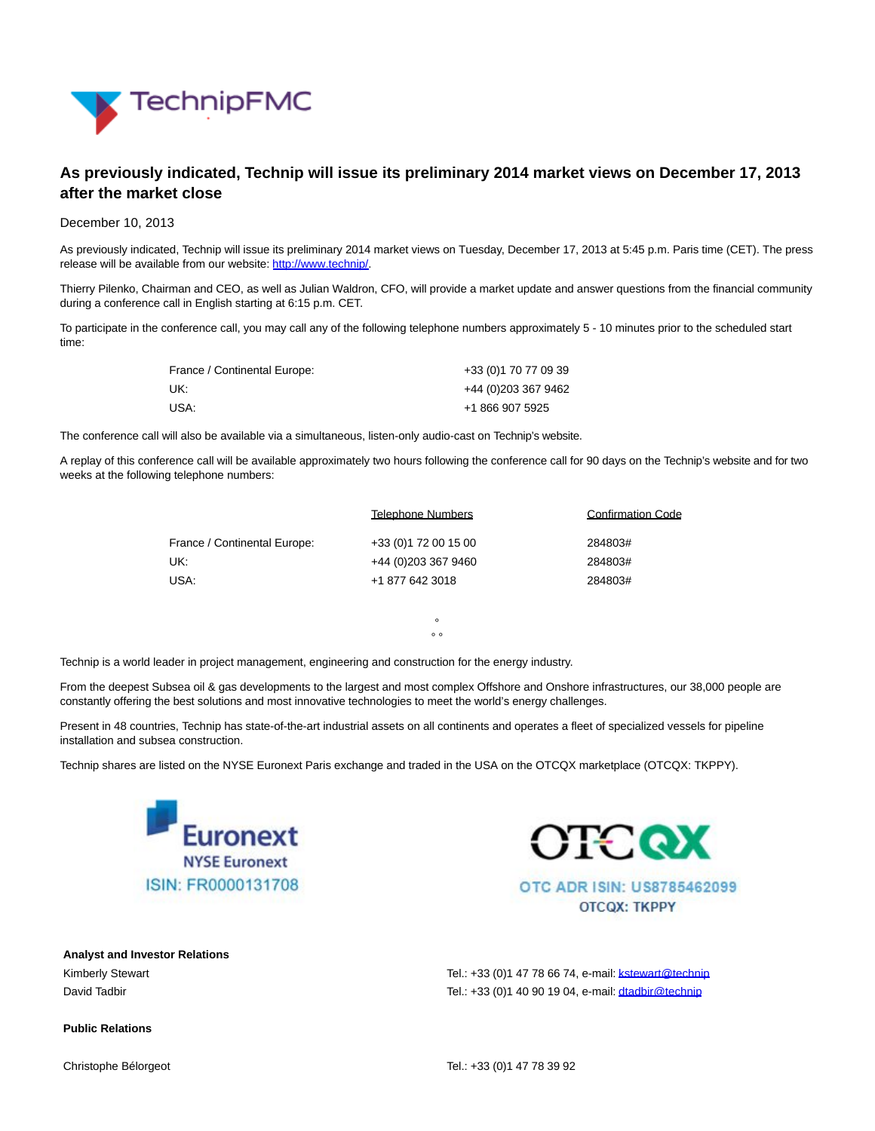

## **As previously indicated, Technip will issue its preliminary 2014 market views on December 17, 2013 after the market close**

## December 10, 2013

As previously indicated, Technip will issue its preliminary 2014 market views on Tuesday, December 17, 2013 at 5:45 p.m. Paris time (CET). The press release will be available from our website: [http://www.technip/.](http://www.technip/)

Thierry Pilenko, Chairman and CEO, as well as Julian Waldron, CFO, will provide a market update and answer questions from the financial community during a conference call in English starting at 6:15 p.m. CET.

To participate in the conference call, you may call any of the following telephone numbers approximately 5 - 10 minutes prior to the scheduled start time:

| France / Continental Europe: | +33 (0) 170 77 09 39 |
|------------------------------|----------------------|
| UK:                          | +44 (0) 203 367 9462 |
| USA:                         | +1 866 907 5925      |

The conference call will also be available via a simultaneous, listen-only audio-cast on Technip's website.

A replay of this conference call will be available approximately two hours following the conference call for 90 days on the Technip's website and for two weeks at the following telephone numbers:

|                              | Telephone Numbers    | <b>Confirmation Code</b> |
|------------------------------|----------------------|--------------------------|
| France / Continental Europe: | +33 (0) 172 00 15 00 | 284803#                  |
| UK:                          | +44 (0) 203 367 9460 | 284803#                  |
| USA:                         | +1 877 642 3018      | 284803#                  |

°  $\overline{\phantom{0}}\phantom{0}$ 

Technip is a world leader in project management, engineering and construction for the energy industry.

From the deepest Subsea oil & gas developments to the largest and most complex Offshore and Onshore infrastructures, our 38,000 people are constantly offering the best solutions and most innovative technologies to meet the world's energy challenges.

Present in 48 countries, Technip has state-of-the-art industrial assets on all continents and operates a fleet of specialized vessels for pipeline installation and subsea construction.

Technip shares are listed on the NYSE Euronext Paris exchange and traded in the USA on the OTCQX marketplace (OTCQX: TKPPY).





**OTCOX: TKPPY** 

**Analyst and Investor Relations**

Kimberly Stewart Tel.: +33 (0)1 47 78 66 74, e-mail: kstewart @technip David Tadbir Tel.: +33 (0)1 40 90 19 04, e-mail[: dtadbir@technip](mailto:dtadbir@technip)

## **Public Relations**